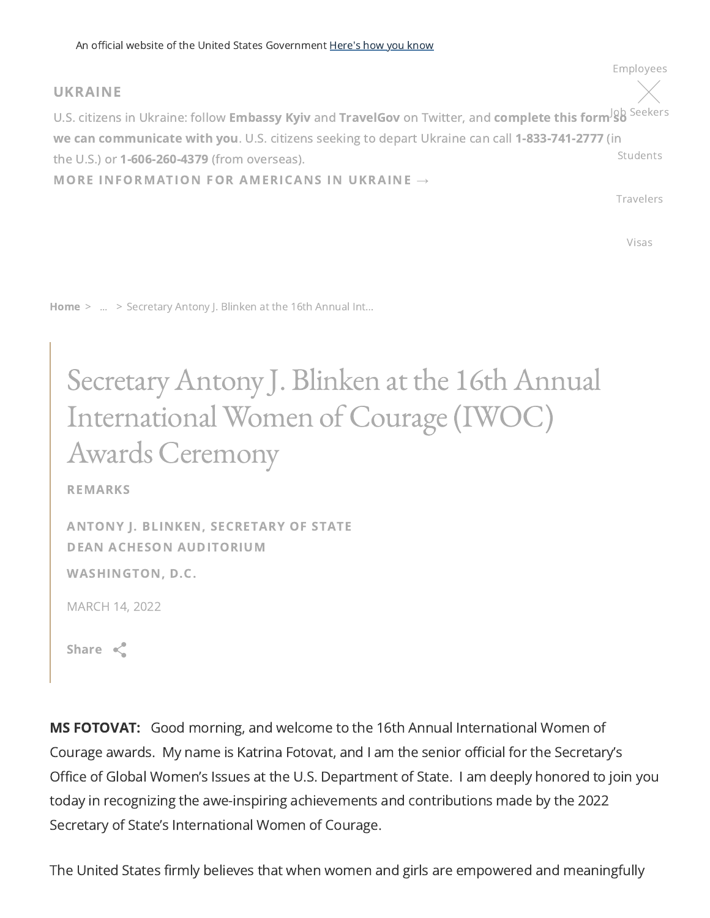## UKRAINE

U.S. citizens in Ukraine: follow **[Embassy](https://twitter.com/USEmbassyKyiv) Kyiv** and **[TravelGov](https://twitter.com/TravelGov)** on Twitter, and **complete this form<sup>Jg</sup>b** <sup>[Seekers](https://www.state.gov/job-seekers/)</sup> we can communicate with you. U.S. citizens seeking to depart Ukraine can call [1-833-741-2777](https://cacms.state.gov/s/crisis-intake) (in the U.S.) or [1-606-260-4379](tel:16062604379) (from overseas). MORE [INFORMATION](https://travel.state.gov/content/travel/en/traveladvisories/ea/information-for-us-citizens-in-Ukraine.html) FOR AMERICANS IN UKRAINE **→** [Students](https://www.state.gov/students/)

[Travelers](https://www.state.gov/travelers/)

 $\times$ 

[Employees](https://www.state.gov/employees/)

[Visas](https://www.state.gov/visas/)

[Home](https://www.state.gov/) > ... > Secretary Antony J. Blinken at the 16th Annual Int...

## Secretary Antony J. Blinken at the 16th Annual International Women of Courage(IWOC) Awards Ceremony

REMARKS

ANTONY J. BLINKEN, [SECRETARY](https://www.state.gov/biographies/antony-j-blinken/) OF STATE DEAN ACHESON AUDITORIUM

WASHINGTON, D.C.

MARCH 14, 2022

Share  $\ll$ 

**MS FOTOVAT:** Good morning, and welcome to the 16th Annual International Women of Courage awards. My name is Katrina Fotovat, and I am the senior official for the Secretary's Office of Global Women's Issues at the U.S. Department of State. I am deeply honored to join you today in recognizing the awe-inspiring achievements and contributions made by the 2022 Secretary of State's International Women of Courage.

The United States firmly believes that when women and girls are empowered and meaningfully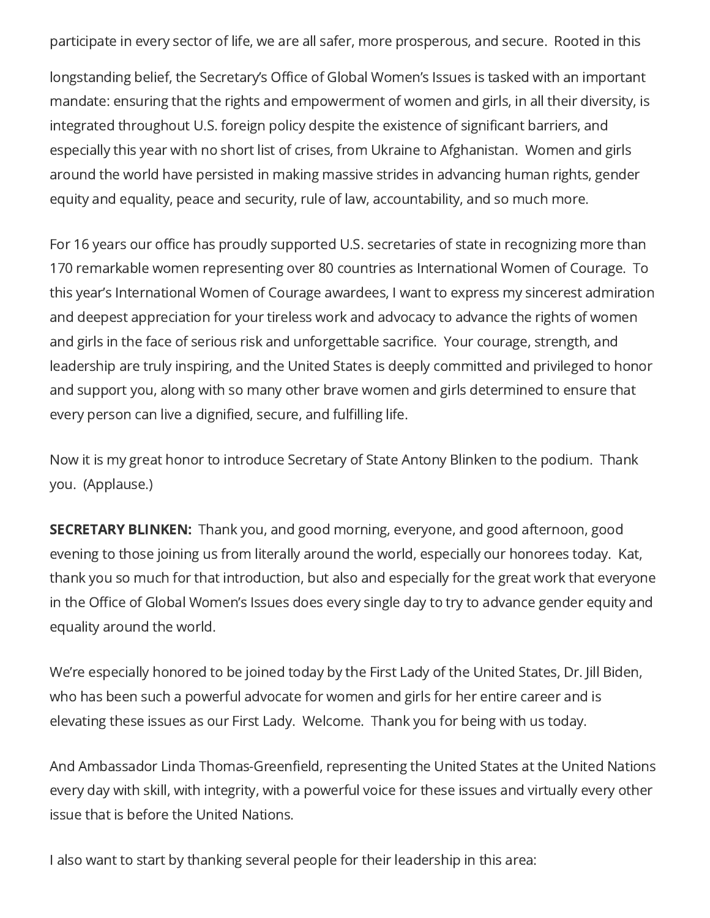participate in every sector of life, we are all safer, more prosperous, and secure. Rooted in this

longstanding belief, the Secretary's Office of Global Women's Issues is tasked with an important mandate: ensuring that the rights and empowerment of women and girls, in all their diversity, is integrated throughout U.S. foreign policy despite the existence of significant barriers, and especially this year with no short list of crises, from Ukraine to Afghanistan. Women and girls around the world have persisted in making massive strides in advancing human rights, gender equity and equality, peace and security, rule of law, accountability, and so much more.

For 16 years our office has proudly supported U.S. secretaries of state in recognizing more than 170 remarkable women representing over 80 countries as International Women of Courage. To this year's International Women of Courage awardees, I want to express my sincerest admiration and deepest appreciation for your tireless work and advocacy to advance the rights of women and girls in the face of serious risk and unforgettable sacrifice. Your courage, strength, and leadership are truly inspiring, and the United States is deeply committed and privileged to honor and support you, along with so many other brave women and girls determined to ensure that every person can live a dignified, secure, and fulfilling life.

Now it is my great honor to introduce Secretary of State Antony Blinken to the podium. Thank you. (Applause.)

**SECRETARY BLINKEN:** Thank you, and good morning, everyone, and good afternoon, good evening to those joining us from literally around the world, especially our honorees today. Kat, thank you so much for that introduction, but also and especially for the great work that everyone in the Office of Global Women's Issues does every single day to try to advance gender equity and equality around the world.

We're especially honored to be joined today by the First Lady of the United States, Dr. Jill Biden, who has been such a powerful advocate for women and girls for her entire career and is elevating these issues as our First Lady. Welcome. Thank you for being with us today.

And Ambassador Linda Thomas-Greenfield, representing the United States at the United Nations every day with skill, with integrity, with a powerful voice for these issues and virtually every other issue that is before the United Nations.

I also want to start by thanking several people for their leadership in this area: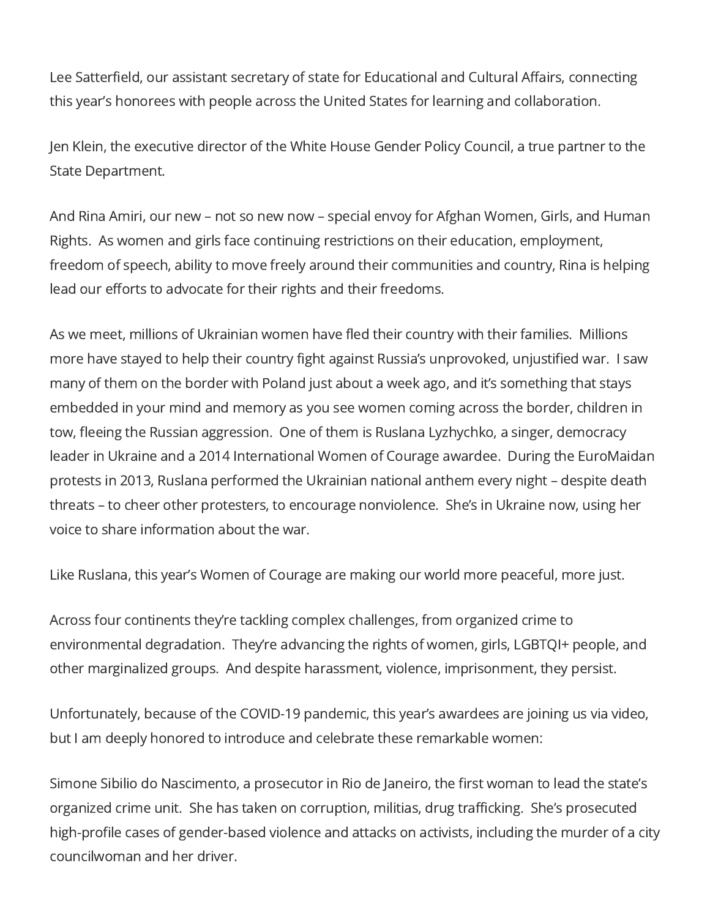Lee Satterfield, our assistant secretary of state for Educational and Cultural Affairs, connecting this year's honorees with people across the United States for learning and collaboration.

Jen Klein, the executive director of the White House Gender Policy Council, a true partner to the State Department.

And Rina Amiri, our new – not so new now – special envoy for Afghan Women, Girls, and Human Rights. As women and girls face continuing restrictions on their education, employment, freedom of speech, ability to move freely around their communities and country, Rina is helping lead our efforts to advocate for their rights and their freedoms.

As we meet, millions of Ukrainian women have fled their country with their families. Millions more have stayed to help their country fight against Russia's unprovoked, unjustified war. I saw many of them on the border with Poland just about a week ago, and it's something that stays embedded in your mind and memory as you see women coming across the border, children in tow, fleeing the Russian aggression. One of them is Ruslana Lyzhychko, a singer, democracy leader in Ukraine and a 2014 International Women of Courage awardee. During the EuroMaidan protests in 2013, Ruslana performed the Ukrainian national anthem every night – despite death threats – to cheer other protesters, to encourage nonviolence. She's in Ukraine now, using her voice to share information about the war.

Like Ruslana, this year's Women of Courage are making our world more peaceful, more just.

Across four continents they're tackling complex challenges, from organized crime to environmental degradation. They're advancing the rights of women, girls, LGBTQI+ people, and other marginalized groups. And despite harassment, violence, imprisonment, they persist.

Unfortunately, because of the COVID-19 pandemic, this year's awardees are joining us via video, but I am deeply honored to introduce and celebrate these remarkable women:

Simone Sibilio do Nascimento, a prosecutor in Rio de Janeiro, the first woman to lead the state's organized crime unit. She has taken on corruption, militias, drug trafficking. She's prosecuted high-profile cases of gender-based violence and attacks on activists, including the murder of a city councilwoman and her driver.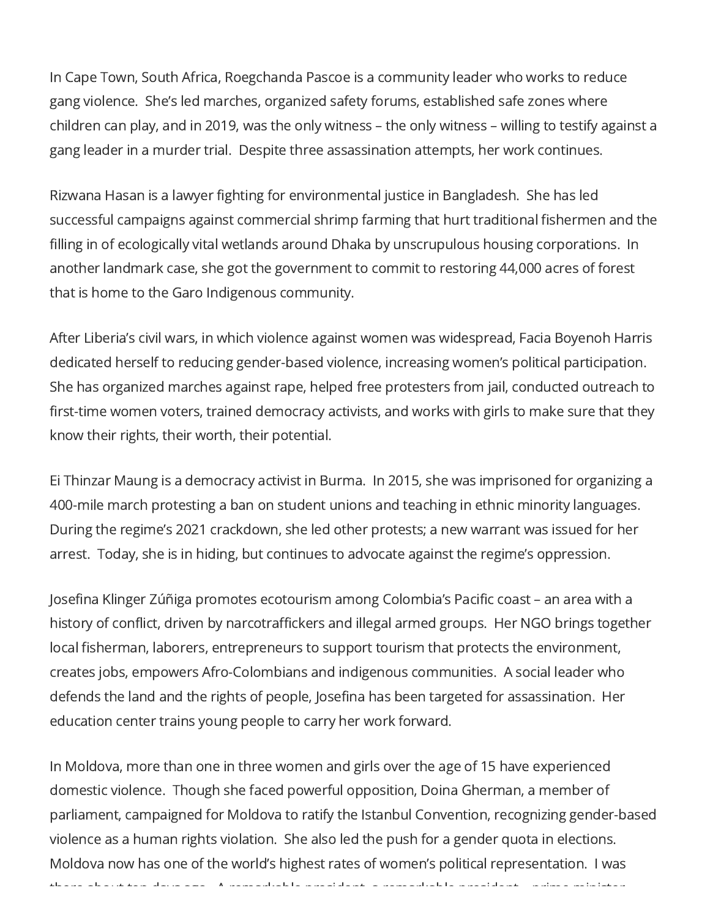In Cape Town, South Africa, Roegchanda Pascoe is a community leader who works to reduce gang violence. She's led marches, organized safety forums, established safe zones where children can play, and in 2019, was the only witness – the only witness – willing to testify against a gang leader in a murder trial. Despite three assassination attempts, her work continues.

Rizwana Hasan is a lawyer fighting for environmental justice in Bangladesh. She has led successful campaigns against commercial shrimp farming that hurt traditional fishermen and the filling in of ecologically vital wetlands around Dhaka by unscrupulous housing corporations. In another landmark case, she got the government to commit to restoring 44,000 acres of forest that is home to the Garo Indigenous community.

After Liberia's civil wars, in which violence against women was widespread, Facia Boyenoh Harris dedicated herself to reducing gender-based violence, increasing women's political participation. She has organized marches against rape, helped free protesters from jail, conducted outreach to first-time women voters, trained democracy activists, and works with girls to make sure that they know their rights, their worth, their potential.

Ei Thinzar Maung is a democracy activist in Burma. In 2015, she was imprisoned for organizing a 400-mile march protesting a ban on student unions and teaching in ethnic minority languages. During the regime's 2021 crackdown, she led other protests; a new warrant was issued for her arrest. Today, she is in hiding, but continues to advocate against the regime's oppression.

Josefina Klinger Zúñiga promotes ecotourism among Colombia's Pacific coast – an area with a history of conflict, driven by narcotraffickers and illegal armed groups. Her NGO brings together local fisherman, laborers, entrepreneurs to support tourism that protects the environment, creates jobs, empowers Afro-Colombians and indigenous communities. A social leader who defends the land and the rights of people, Josefina has been targeted for assassination. Her education center trains young people to carry her work forward.

In Moldova, more than one in three women and girls over the age of 15 have experienced domestic violence. Though she faced powerful opposition, Doina Gherman, a member of parliament, campaigned for Moldova to ratify the Istanbul Convention, recognizing gender-based violence as a human rights violation. She also led the push for a gender quota in elections. Moldova now has one of the world's highest rates of women's political representation. I was there about ten days ago A remarkable president a remarkable president prime minister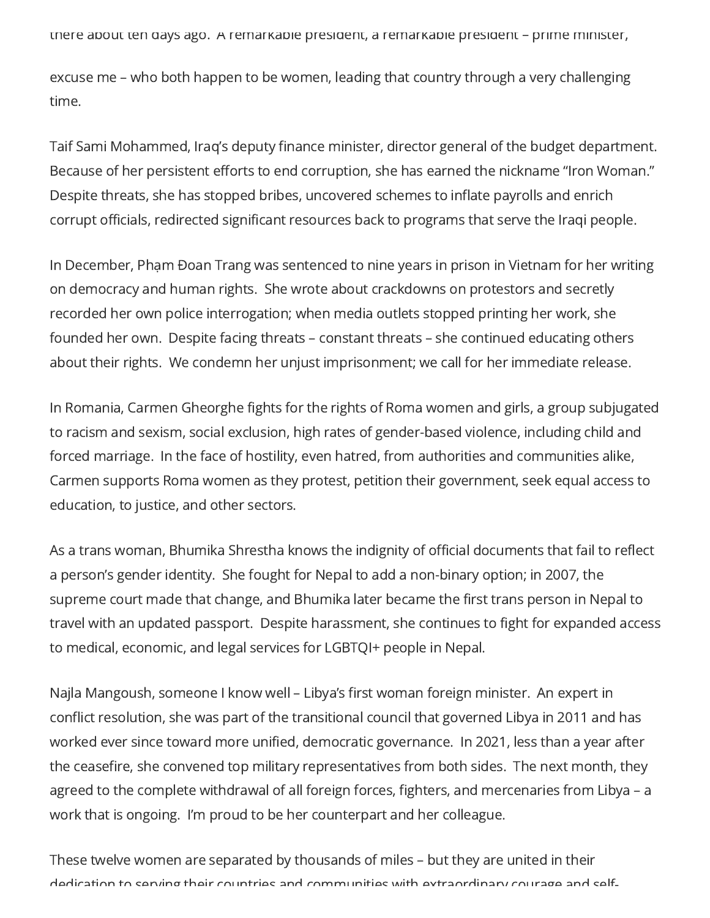there about ten days ago. A remarkable president, a remarkable president – prime minister,

excuse me – who both happen to be women, leading that country through a very challenging time.

Taif Sami Mohammed, Iraq's deputy finance minister, director general of the budget department. Because of her persistent efforts to end corruption, she has earned the nickname "Iron Woman." Despite threats, she has stopped bribes, uncovered schemes to inflate payrolls and enrich corrupt officials, redirected significant resources back to programs that serve the Iraqi people.

In December, Phạm Đoan Trang was sentenced to nine years in prison in Vietnam for her writing on democracy and human rights. She wrote about crackdowns on protestors and secretly recorded her own police interrogation; when media outlets stopped printing her work, she founded her own. Despite facing threats – constant threats – she continued educating others about their rights. We condemn her unjust imprisonment; we call for her immediate release.

In Romania, Carmen Gheorghe fights for the rights of Roma women and girls, a group subjugated to racism and sexism, social exclusion, high rates of gender-based violence, including child and forced marriage. In the face of hostility, even hatred, from authorities and communities alike, Carmen supports Roma women as they protest, petition their government, seek equal access to education, to justice, and other sectors.

As a trans woman, Bhumika Shrestha knows the indignity of official documents that fail to reflect a person's gender identity. She fought for Nepal to add a non-binary option; in 2007, the supreme court made that change, and Bhumika later became the first trans person in Nepal to travel with an updated passport. Despite harassment, she continues to fight for expanded access to medical, economic, and legal services for LGBTQI+ people in Nepal.

Najla Mangoush, someone I know well – Libya's first woman foreign minister. An expert in conflict resolution, she was part of the transitional council that governed Libya in 2011 and has worked ever since toward more unified, democratic governance. In 2021, less than a year after the ceasefire, she convened top military representatives from both sides. The next month, they agreed to the complete withdrawal of all foreign forces, fighters, and mercenaries from Libya – a work that is ongoing. I'm proud to be her counterpart and her colleague.

These twelve women are separated by thousands of miles – but they are united in their dedication to serving their countries and communities with extraordinary courage and self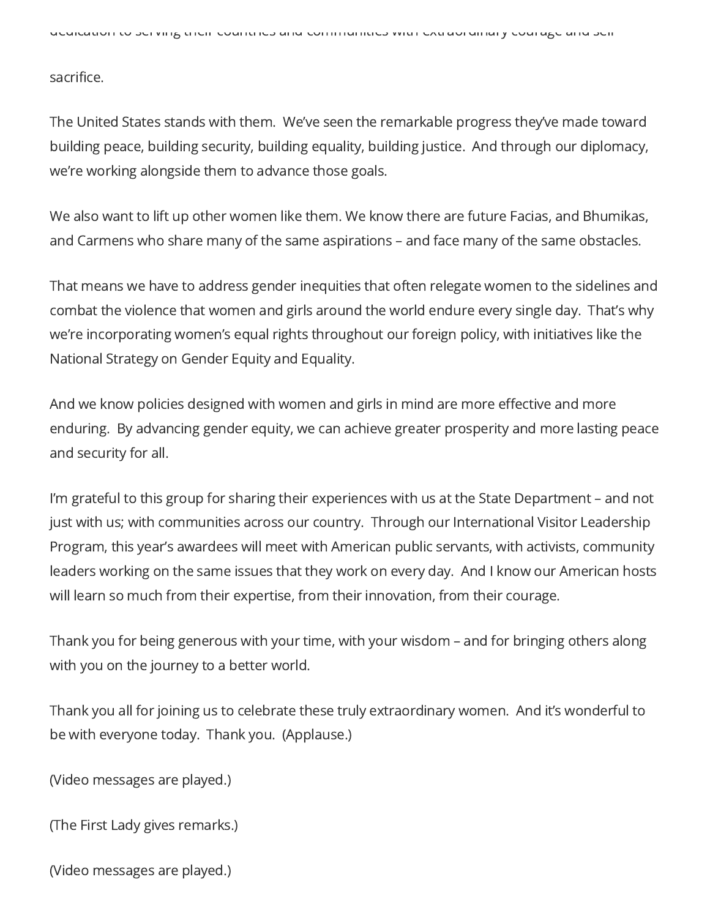sacrifice.

The United States stands with them. We've seen the remarkable progress they've made toward building peace, building security, building equality, building justice. And through our diplomacy, we're working alongside them to advance those goals.

We also want to lift up other women like them. We know there are future Facias, and Bhumikas, and Carmens who share many of the same aspirations – and face many of the same obstacles.

That means we have to address gender inequities that often relegate women to the sidelines and combat the violence that women and girls around the world endure every single day. That's why we're incorporating women's equal rights throughout our foreign policy, with initiatives like the National Strategy on Gender Equity and Equality.

And we know policies designed with women and girls in mind are more effective and more enduring. By advancing gender equity, we can achieve greater prosperity and more lasting peace and security for all.

I'm grateful to this group for sharing their experiences with us at the State Department – and not just with us; with communities across our country. Through our International Visitor Leadership Program, this year's awardees will meet with American public servants, with activists, community leaders working on the same issues that they work on every day. And I know our American hosts will learn so much from their expertise, from their innovation, from their courage.

Thank you for being generous with your time, with your wisdom – and for bringing others along with you on the journey to a better world.

Thank you all for joining us to celebrate these truly extraordinary women. And it's wonderful to be with everyone today. Thank you. (Applause.)

(Video messages are played.)

(The First Lady gives remarks.)

(Video messages are played.)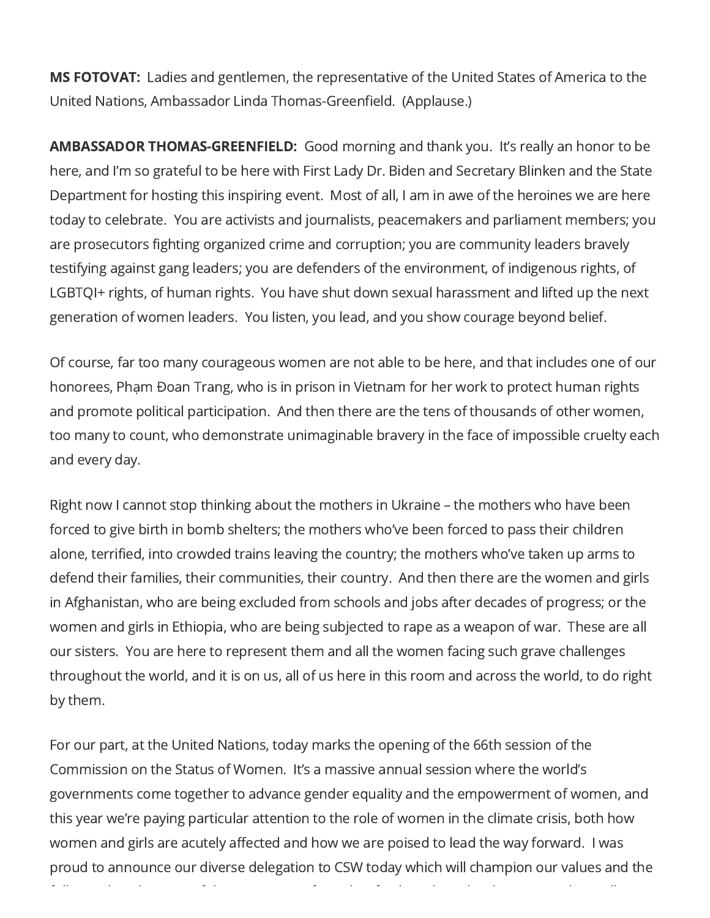MS FOTOVAT: Ladies and gentlemen, the representative of the United States of America to the United Nations, Ambassador Linda Thomas-Greenfield. (Applause.)

AMBASSADOR THOMAS-GREENFIELD: Good morning and thank you. It's really an honor to be here, and I'm so grateful to be here with First Lady Dr. Biden and Secretary Blinken and the State Department for hosting this inspiring event. Most of all, I am in awe of the heroines we are here today to celebrate. You are activists and journalists, peacemakers and parliament members; you are prosecutors fighting organized crime and corruption; you are community leaders bravely testifying against gang leaders; you are defenders of the environment, of indigenous rights, of LGBTQI+ rights, of human rights. You have shut down sexual harassment and lifted up the next generation of women leaders. You listen, you lead, and you show courage beyond belief.

Of course, far too many courageous women are not able to be here, and that includes one of our honorees, Phạm Đoan Trang, who is in prison in Vietnam for her work to protect human rights and promote political participation. And then there are the tens of thousands of other women, too many to count, who demonstrate unimaginable bravery in the face of impossible cruelty each and every day.

Right now I cannot stop thinking about the mothers in Ukraine – the mothers who have been forced to give birth in bomb shelters; the mothers who've been forced to pass their children alone, terrified, into crowded trains leaving the country; the mothers who've taken up arms to defend their families, their communities, their country. And then there are the women and girls in Afghanistan, who are being excluded from schools and jobs after decades of progress; or the women and girls in Ethiopia, who are being subjected to rape as a weapon of war. These are all our sisters. You are here to represent them and all the women facing such grave challenges throughout the world, and it is on us, all of us here in this room and across the world, to do right by them.

For our part, at the United Nations, today marks the opening of the 66th session of the Commission on the Status of Women. It's a massive annual session where the world's governments come together to advance gender equality and the empowerment of women, and this year we're paying particular attention to the role of women in the climate crisis, both how women and girls are acutely affected and how we are poised to lead the way forward. I was proud to announce our diverse delegation to CSW today which will champion our values and the

f ll l d f l f d f l d d d l ll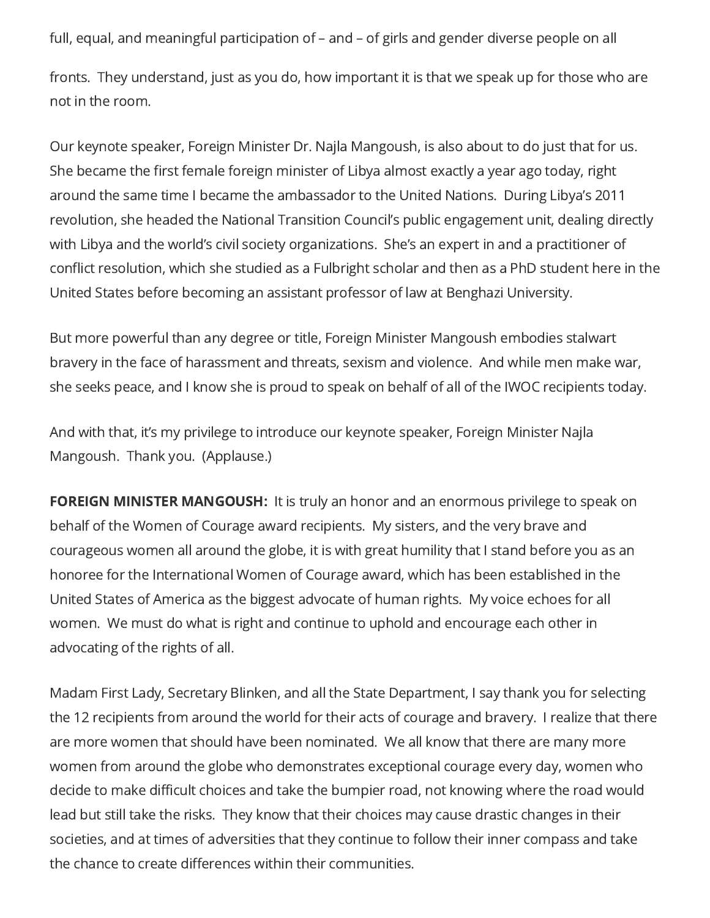full, equal, and meaningful participation of – and – of girls and gender diverse people on all

fronts. They understand, just as you do, how important it is that we speak up for those who are not in the room.

Our keynote speaker, Foreign Minister Dr. Najla Mangoush, is also about to do just that for us. She became the first female foreign minister of Libya almost exactly a year ago today, right around the same time I became the ambassador to the United Nations. During Libya's 2011 revolution, she headed the National Transition Council's public engagement unit, dealing directly with Libya and the world's civil society organizations. She's an expert in and a practitioner of conflict resolution, which she studied as a Fulbright scholar and then as a PhD student here in the United States before becoming an assistant professor of law at Benghazi University.

But more powerful than any degree or title, Foreign Minister Mangoush embodies stalwart bravery in the face of harassment and threats, sexism and violence. And while men make war, she seeks peace, and I know she is proud to speak on behalf of all of the IWOC recipients today.

And with that, it's my privilege to introduce our keynote speaker, Foreign Minister Najla Mangoush. Thank you. (Applause.)

**FOREIGN MINISTER MANGOUSH:** It is truly an honor and an enormous privilege to speak on behalf of the Women of Courage award recipients. My sisters, and the very brave and courageous women all around the globe, it is with great humility that I stand before you as an honoree for the International Women of Courage award, which has been established in the United States of America as the biggest advocate of human rights. My voice echoes for all women. We must do what is right and continue to uphold and encourage each other in advocating of the rights of all.

Madam First Lady, Secretary Blinken, and all the State Department, I say thank you for selecting the 12 recipients from around the world for their acts of courage and bravery. I realize that there are more women that should have been nominated. We all know that there are many more women from around the globe who demonstrates exceptional courage every day, women who decide to make difficult choices and take the bumpier road, not knowing where the road would lead but still take the risks. They know that their choices may cause drastic changes in their societies, and at times of adversities that they continue to follow their inner compass and take the chance to create differences within their communities.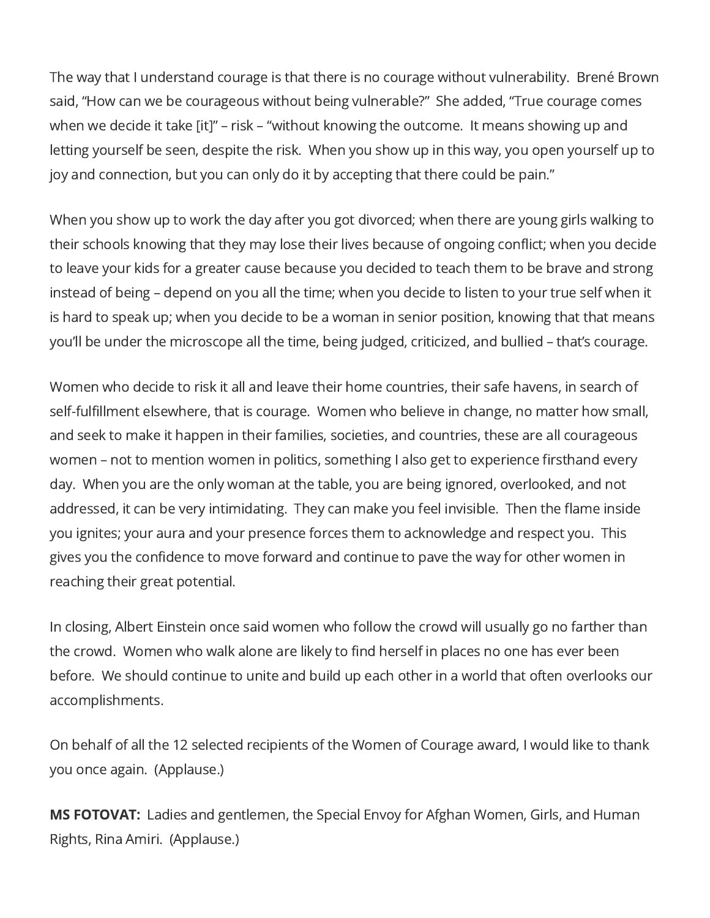The way that I understand courage is that there is no courage without vulnerability. Brené Brown said, "How can we be courageous without being vulnerable?" She added, "True courage comes when we decide it take [it]" – risk – "without knowing the outcome. It means showing up and letting yourself be seen, despite the risk. When you show up in this way, you open yourself up to joy and connection, but you can only do it by accepting that there could be pain."

When you show up to work the day after you got divorced; when there are young girls walking to their schools knowing that they may lose their lives because of ongoing conflict; when you decide to leave your kids for a greater cause because you decided to teach them to be brave and strong instead of being – depend on you all the time; when you decide to listen to your true self when it is hard to speak up; when you decide to be a woman in senior position, knowing that that means you'll be under the microscope all the time, being judged, criticized, and bullied – that's courage.

Women who decide to risk it all and leave their home countries, their safe havens, in search of self-fulfillment elsewhere, that is courage. Women who believe in change, no matter how small, and seek to make it happen in their families, societies, and countries, these are all courageous women – not to mention women in politics, something I also get to experience firsthand every day. When you are the only woman at the table, you are being ignored, overlooked, and not addressed, it can be very intimidating. They can make you feel invisible. Then the flame inside you ignites; your aura and your presence forces them to acknowledge and respect you. This gives you the confidence to move forward and continue to pave the way for other women in reaching their great potential.

In closing, Albert Einstein once said women who follow the crowd will usually go no farther than the crowd. Women who walk alone are likely to find herself in places no one has ever been before. We should continue to unite and build up each other in a world that often overlooks our accomplishments.

On behalf of all the 12 selected recipients of the Women of Courage award, I would like to thank you once again. (Applause.)

**MS FOTOVAT:** Ladies and gentlemen, the Special Envoy for Afghan Women, Girls, and Human Rights, Rina Amiri. (Applause.)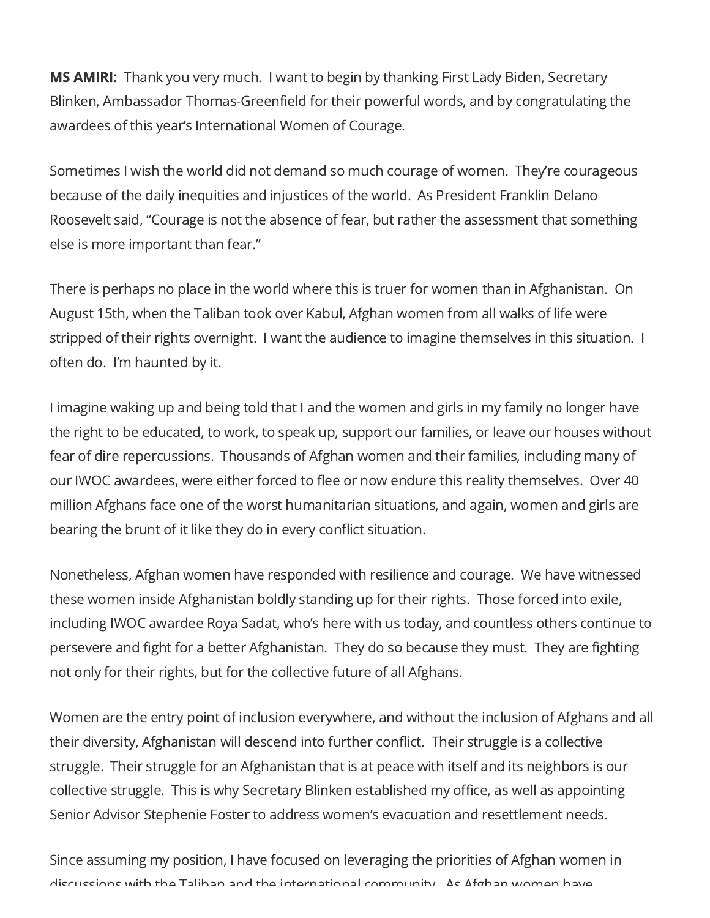MS AMIRI: Thank you very much. I want to begin by thanking First Lady Biden, Secretary Blinken, Ambassador Thomas-Greenfield for their powerful words, and by congratulating the awardees of this year's International Women of Courage.

Sometimes I wish the world did not demand so much courage of women. They're courageous because of the daily inequities and injustices of the world. As President Franklin Delano Roosevelt said, "Courage is not the absence of fear, but rather the assessment that something else is more important than fear."

There is perhaps no place in the world where this is truer for women than in Afghanistan. On August 15th, when the Taliban took over Kabul, Afghan women from all walks of life were stripped of their rights overnight. I want the audience to imagine themselves in this situation. I often do. I'm haunted by it.

I imagine waking up and being told that I and the women and girls in my family no longer have the right to be educated, to work, to speak up, support our families, or leave our houses without fear of dire repercussions. Thousands of Afghan women and their families, including many of our IWOC awardees, were either forced to flee or now endure this reality themselves. Over 40 million Afghans face one of the worst humanitarian situations, and again, women and girls are bearing the brunt of it like they do in every conflict situation.

Nonetheless, Afghan women have responded with resilience and courage. We have witnessed these women inside Afghanistan boldly standing up for their rights. Those forced into exile, including IWOC awardee Roya Sadat, who's here with us today, and countless others continue to persevere and fight for a better Afghanistan. They do so because they must. They are fighting not only for their rights, but for the collective future of all Afghans.

Women are the entry point of inclusion everywhere, and without the inclusion of Afghans and all their diversity, Afghanistan will descend into further conflict. Their struggle is a collective struggle. Their struggle for an Afghanistan that is at peace with itself and its neighbors is our collective struggle. This is why Secretary Blinken established my office, as well as appointing Senior Advisor Stephenie Foster to address women's evacuation and resettlement needs.

Since assuming my position, I have focused on leveraging the priorities of Afghan women in discussions with the Taliban and the international community As Afghan women have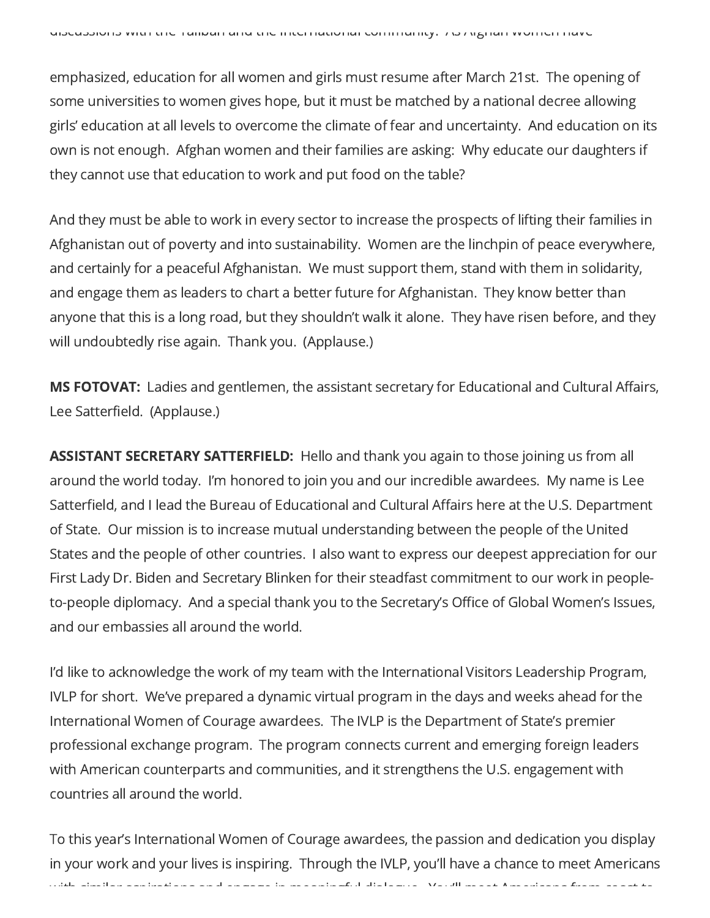emphasized, education for all women and girls must resume after March 21st. The opening of some universities to women gives hope, but it must be matched by a national decree allowing girls' education at all levels to overcome the climate of fear and uncertainty. And education on its own is not enough. Afghan women and their families are asking: Why educate our daughters if they cannot use that education to work and put food on the table?

And they must be able to work in every sector to increase the prospects of lifting their families in Afghanistan out of poverty and into sustainability. Women are the linchpin of peace everywhere, and certainly for a peaceful Afghanistan. We must support them, stand with them in solidarity, and engage them as leaders to chart a better future for Afghanistan. They know better than anyone that this is a long road, but they shouldn't walk it alone. They have risen before, and they will undoubtedly rise again. Thank you. (Applause.)

MS FOTOVAT: Ladies and gentlemen, the assistant secretary for Educational and Cultural Affairs, Lee Satterfield. (Applause.)

ASSISTANT SECRETARY SATTERFIELD: Hello and thank you again to those joining us from all around the world today. I'm honored to join you and our incredible awardees. My name is Lee Satterfield, and I lead the Bureau of Educational and Cultural Affairs here at the U.S. Department of State. Our mission is to increase mutual understanding between the people of the United States and the people of other countries. I also want to express our deepest appreciation for our First Lady Dr. Biden and Secretary Blinken for their steadfast commitment to our work in peopleto-people diplomacy. And a special thank you to the Secretary's Office of Global Women's Issues, and our embassies all around the world.

I'd like to acknowledge the work of my team with the International Visitors Leadership Program, IVLP for short. We've prepared a dynamic virtual program in the days and weeks ahead for the International Women of Courage awardees. The IVLP is the Department of State's premier professional exchange program. The program connects current and emerging foreign leaders with American counterparts and communities, and it strengthens the U.S. engagement with countries all around the world.

To this year's International Women of Courage awardees, the passion and dedication you display in your work and your lives is inspiring. Through the IVLP, you'll have a chance to meet Americans